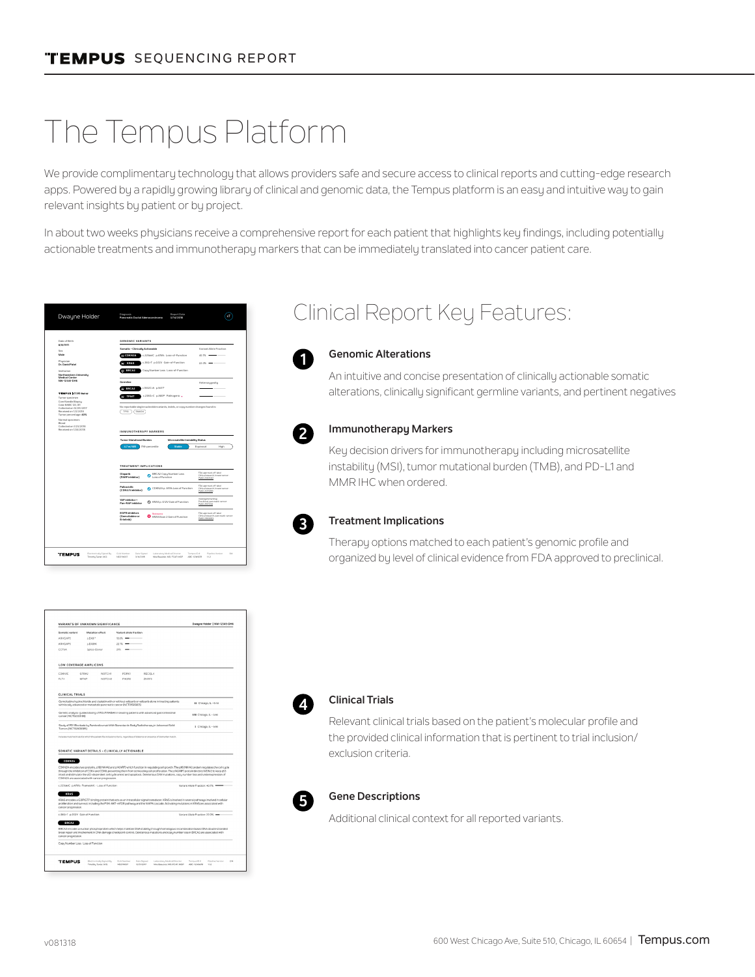# The Tempus Platform

We provide complimentary technology that allows providers safe and secure access to clinical reports and cutting-edge research apps. Powered by a rapidly growing library of clinical and genomic data, the Tempus platform is an easy and intuitive way to gain relevant insights by patient or by project.

In about two weeks physicians receive a comprehensive report for each patient that highlights key findings, including potentially actionable treatments and immunotherapy markers that can be immediately translated into cancer patient care.

|                                                                                                                                   | Pancreatic Ductal Adenocarcinoma<br>3/14/2015                                                                   |                                                                                        |  |  |
|-----------------------------------------------------------------------------------------------------------------------------------|-----------------------------------------------------------------------------------------------------------------|----------------------------------------------------------------------------------------|--|--|
| Date of Birth<br>8/8/1971                                                                                                         | <b>GENOMIC VARIANTS</b>                                                                                         |                                                                                        |  |  |
| Sex.                                                                                                                              | Somatic - Clinicallu Actionable                                                                                 | Variant Allele Fraction                                                                |  |  |
| Male                                                                                                                              | c.225delC p.A76fs Loss-of-Function<br>O COKN2A                                                                  | 40.7% =                                                                                |  |  |
| Physician<br>Dr. David Patel                                                                                                      | KRAS<br>c.35G>T p.G12V Gain-of-Function<br>$22.0\%$ $-$                                                         |                                                                                        |  |  |
| Institution<br>Northwestern University<br><b>Medical Center</b>                                                                   | C BRCAZ<br>Copy Number Loss Loss-of-Function                                                                    |                                                                                        |  |  |
| NW-12345-DH6                                                                                                                      | Germine                                                                                                         | Meterozygosity                                                                         |  |  |
| TEMPUS LT595 Genes                                                                                                                | @ BRCAZ<br>c3832C>A p.\$617*                                                                                    |                                                                                        |  |  |
| Turnor specimen<br>Core Needle Biopsy                                                                                             | <b>TPMT</b><br>c.238G>C p.ABDP Pathogenic +                                                                     |                                                                                        |  |  |
| Case #ABC 123.81<br>Collected on 12/29/2017<br>Received on 1/2/2018<br>Turnor percentage: 40%<br>Normal specimen:<br><b>Blood</b> | No reportable single nucleotide variants, indels, or copy number changes found in:<br>TP53<br><b>SMAD4</b>      |                                                                                        |  |  |
| Collected on 1/23/2018<br>Received on 1/24/2018                                                                                   | IMMUNOTHERAPY MARKERS<br><b>Turnor Mutational Burden</b><br>Microsatelite Instability Status                    |                                                                                        |  |  |
|                                                                                                                                   |                                                                                                                 |                                                                                        |  |  |
|                                                                                                                                   | $4.7 \text{ m} / \text{MB}$<br>79th percentile<br>Stable                                                        | Equivocal<br>High                                                                      |  |  |
|                                                                                                                                   | TREATMENT IMPLICATIONS                                                                                          |                                                                                        |  |  |
|                                                                                                                                   | <b>Olsparib</b><br>BRCA2 Copy Number Loss<br>(PARP Inhibitor)                                                   | FDA approved, off-label<br>Clinical research, breast cancer:<br>PMD 20609467           |  |  |
|                                                                                                                                   | Palbocicillo<br>C CD/2(2Ap. ANh Loss of Function<br>(CDK4/6 inhibitor)                                          | FDA approved, off-label<br>Clinical research, breast cancer;<br><b>PARD INTERNA</b>    |  |  |
|                                                                                                                                   | VAD INNING V.<br>2 KRAS p. G12V Gain of Function<br>Pan-RAF Inhibitor                                           | Investigationaldrug<br>Precincal pancreatic cancer:<br>PMD 28576749                    |  |  |
|                                                                                                                                   | <b>EGFR</b> inhibitors<br><b>Goulartours</b><br>(Gemcitabine or<br>3 KRAS Exon 2 Gain of Function<br>Eriotinib) | FDA approved, off-label<br>Clinical research, gancreatic cancer;<br><b>PMD 2560682</b> |  |  |
|                                                                                                                                   |                                                                                                                 |                                                                                        |  |  |

### Clinical Report Key Features:



#### **Genomic Alterations**

An intuitive and concise presentation of clinically actionable somatic alterations, clinically significant germline variants, and pertinent negatives



#### **Immunotherapy Markers**

Key decision drivers for immunotherapy including microsatellite instability (MSI), tumor mutational burden (TMB), and PD-L1 and MMR IHC when ordered.



#### **Treatment Implications**

Therapy options matched to each patient's genomic profile and organized by level of clinical evidence from FDA approved to preclinical.

| Cometic unrised                     | Mutation effect                                 |        | Variant allele fraction                                             |                                                                                                                                        |                                                                                                                                                                                                                                                                                            |
|-------------------------------------|-------------------------------------------------|--------|---------------------------------------------------------------------|----------------------------------------------------------------------------------------------------------------------------------------|--------------------------------------------------------------------------------------------------------------------------------------------------------------------------------------------------------------------------------------------------------------------------------------------|
| ARHGAPS                             | 0.E481*                                         |        | $18.6\%$ $-$                                                        |                                                                                                                                        |                                                                                                                                                                                                                                                                                            |
| ARHGAPS                             | 0.5489K                                         |        | $22.7%$ $-$                                                         |                                                                                                                                        |                                                                                                                                                                                                                                                                                            |
| CCT6A                               | Snice-Dowy                                      |        | $226 - 125$                                                         |                                                                                                                                        |                                                                                                                                                                                                                                                                                            |
|                                     | <b>LOW COVERAGE AMPLICONS</b>                   |        |                                                                     |                                                                                                                                        |                                                                                                                                                                                                                                                                                            |
| COKNIC                              | GFRA2                                           | NOTCHI | <b>POPK1</b>                                                        | RECOL4                                                                                                                                 |                                                                                                                                                                                                                                                                                            |
| FLT4                                | <b>MTAP</b>                                     | MOTORS | DIV101                                                              | ZNRF3                                                                                                                                  |                                                                                                                                                                                                                                                                                            |
| CLINICAL TRIALS                     |                                                 |        | with locally advanced or metastatic pancreatic cancer (NCT01585805) | Gemoltablne hudrochloride and claplatin with or without veliparib or veliparib alone in treating patients.                             | II Chicago, IL - 6 mi                                                                                                                                                                                                                                                                      |
| cancer(NCT02333188)                 |                                                 |        |                                                                     | Genetic analysis-quided dosing of FOLFIRABAX in treating patients with advanced gastrointestinal                                       | I/II Chicago, IL - 6 mi                                                                                                                                                                                                                                                                    |
| Tumors (NCT02608385)                |                                                 |        |                                                                     | Study of PD1Blockade by Pembrolizumab With Stereotactic Body Radiotherapy in Advanced Solid                                            | I Chicago, IL - 6 mi                                                                                                                                                                                                                                                                       |
|                                     |                                                 |        | SOMATIC VARIANT DETAILS - CLINICALLY ACTIONABLE                     | includes matched trials for which the patient fits inclusion criteria, regardless of distance or presence of biomarker match.          |                                                                                                                                                                                                                                                                                            |
| <b>CDKN2A</b>                       |                                                 |        |                                                                     |                                                                                                                                        | CDRN2A encodes two proteins, pf6(INK4A) and pf4(ARF) which function in requisting cell prowth. The p96(NK4A) protein requistes the cell cucle                                                                                                                                              |
|                                     | CDKN2A are associated with cancer progression.  |        |                                                                     |                                                                                                                                        | through the inhibition of CDK4 and CDK6, preventing them from stimulating cell profileration. The p14(ARF) protein binds to MDM2 to keep p53<br>intact and stimulate the p53-dependent cell cucle arrest and apoptosis. Deleterious SNV mutations, copy number loss and underexpression of |
|                                     | c.225delC p.A76fs Frameshift - Loss of Function |        |                                                                     |                                                                                                                                        | Variant Allele Fraction: 40.7% .                                                                                                                                                                                                                                                           |
| <b>KRAS</b>                         |                                                 |        |                                                                     |                                                                                                                                        |                                                                                                                                                                                                                                                                                            |
|                                     |                                                 |        |                                                                     | proliferation and survival, including the PI3K-AKT-mTOR pathway and the MAPK cascade. Activating mutations in KRAS are associated with | KRAS encodes a GDP/GTP binding protein that acts as an intracellular signal transducer. KRAS is involved in several pathways involved in cellular                                                                                                                                          |
| cancer progression.                 | c.35G>T_p.G12V_Gain of Function                 |        |                                                                     |                                                                                                                                        | Variant Allele Fraction: 22.0% -                                                                                                                                                                                                                                                           |
| <b>BRCAZ</b><br>cancer progression. |                                                 |        |                                                                     | break repair and involvement in DNA damage checkpoint control. Deleterious mutations and copy number loss in BRCA2 are associated with | BRCA2 encodes a nuclear phosphoprotein which helps maintain DNA stability through homologous recombination based DNA double stranded                                                                                                                                                       |
|                                     | Copu Number Loss Loss of Function               |        |                                                                     |                                                                                                                                        |                                                                                                                                                                                                                                                                                            |



#### **Clinical Trials**

Relevant clinical trials based on the patient's molecular profile and the provided clinical information that is pertinent to trial inclusion/ exclusion criteria.



#### **Gene Descriptions**

Additional clinical context for all reported variants.